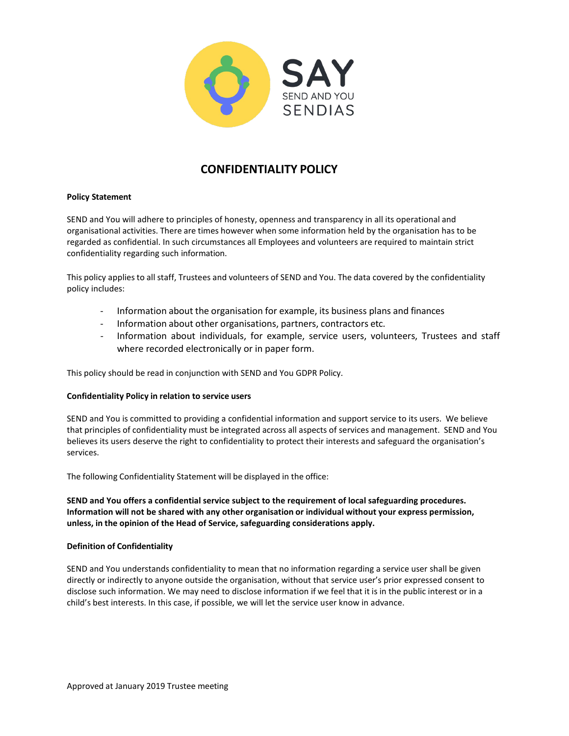

# **CONFIDENTIALITY POLICY**

# **Policy Statement**

SEND and You will adhere to principles of honesty, openness and transparency in all its operational and organisational activities. There are times however when some information held by the organisation has to be regarded as confidential. In such circumstances all Employees and volunteers are required to maintain strict confidentiality regarding such information.

This policy applies to all staff, Trustees and volunteers of SEND and You. The data covered by the confidentiality policy includes:

- Information about the organisation for example, its business plans and finances
- Information about other organisations, partners, contractors etc.
- Information about individuals, for example, service users, volunteers, Trustees and staff where recorded electronically or in paper form.

This policy should be read in conjunction with SEND and You GDPR Policy.

#### **Confidentiality Policy in relation to service users**

SEND and You is committed to providing a confidential information and support service to its users. We believe that principles of confidentiality must be integrated across all aspects of services and management. SEND and You believes its users deserve the right to confidentiality to protect their interests and safeguard the organisation's services.

The following Confidentiality Statement will be displayed in the office:

**SEND and You offers a confidential service subject to the requirement of local safeguarding procedures. Information will not be shared with any other organisation or individual without your express permission, unless, in the opinion of the Head of Service, safeguarding considerations apply.**

#### **Definition of Confidentiality**

SEND and You understands confidentiality to mean that no information regarding a service user shall be given directly or indirectly to anyone outside the organisation, without that service user's prior expressed consent to disclose such information. We may need to disclose information if we feel that it is in the public interest or in a child's best interests. In this case, if possible, we will let the service user know in advance.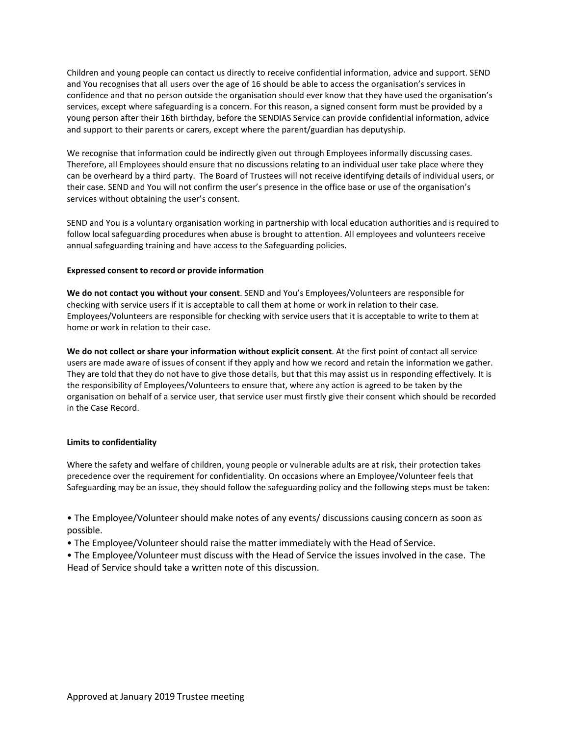Children and young people can contact us directly to receive confidential information, advice and support. SEND and You recognises that all users over the age of 16 should be able to access the organisation's services in confidence and that no person outside the organisation should ever know that they have used the organisation's services, except where safeguarding is a concern. For this reason, a signed consent form must be provided by a young person after their 16th birthday, before the SENDIAS Service can provide confidential information, advice and support to their parents or carers, except where the parent/guardian has deputyship.

We recognise that information could be indirectly given out through Employees informally discussing cases. Therefore, all Employees should ensure that no discussions relating to an individual user take place where they can be overheard by a third party. The Board of Trustees will not receive identifying details of individual users, or their case. SEND and You will not confirm the user's presence in the office base or use of the organisation's services without obtaining the user's consent.

SEND and You is a voluntary organisation working in partnership with local education authorities and is required to follow local safeguarding procedures when abuse is brought to attention. All employees and volunteers receive annual safeguarding training and have access to the Safeguarding policies.

# **Expressed consent to record or provide information**

**We do not contact you without your consent**. SEND and You's Employees/Volunteers are responsible for checking with service users if it is acceptable to call them at home or work in relation to their case. Employees/Volunteers are responsible for checking with service users that it is acceptable to write to them at home or work in relation to their case.

**We do not collect or share your information without explicit consent**. At the first point of contact all service users are made aware of issues of consent if they apply and how we record and retain the information we gather. They are told that they do not have to give those details, but that this may assist us in responding effectively. It is the responsibility of Employees/Volunteers to ensure that, where any action is agreed to be taken by the organisation on behalf of a service user, that service user must firstly give their consent which should be recorded in the Case Record.

# **Limits to confidentiality**

Where the safety and welfare of children, young people or vulnerable adults are at risk, their protection takes precedence over the requirement for confidentiality. On occasions where an Employee/Volunteer feels that Safeguarding may be an issue, they should follow the safeguarding policy and the following steps must be taken:

• The Employee/Volunteer should make notes of any events/ discussions causing concern as soon as possible.

• The Employee/Volunteer should raise the matter immediately with the Head of Service.

• The Employee/Volunteer must discuss with the Head of Service the issues involved in the case. The Head of Service should take a written note of this discussion.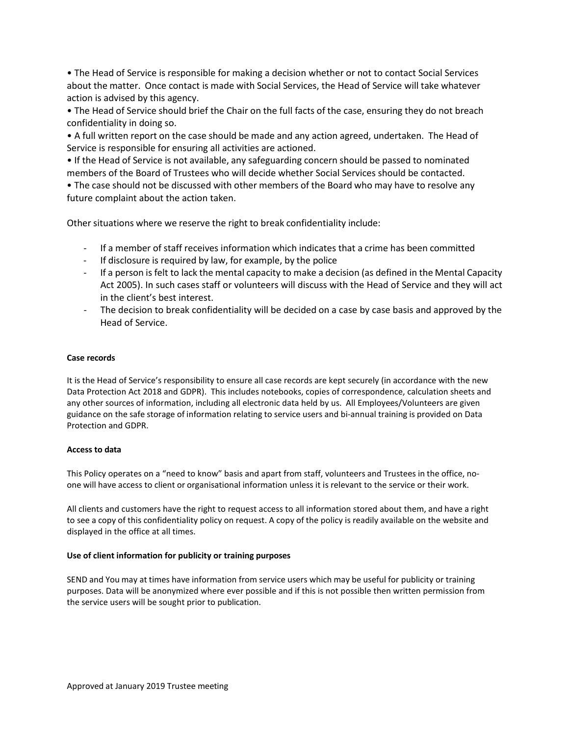• The Head of Service is responsible for making a decision whether or not to contact Social Services about the matter. Once contact is made with Social Services, the Head of Service will take whatever action is advised by this agency.

• The Head of Service should brief the Chair on the full facts of the case, ensuring they do not breach confidentiality in doing so.

• A full written report on the case should be made and any action agreed, undertaken. The Head of Service is responsible for ensuring all activities are actioned.

• If the Head of Service is not available, any safeguarding concern should be passed to nominated members of the Board of Trustees who will decide whether Social Services should be contacted.

• The case should not be discussed with other members of the Board who may have to resolve any future complaint about the action taken.

Other situations where we reserve the right to break confidentiality include:

- If a member of staff receives information which indicates that a crime has been committed
- If disclosure is required by law, for example, by the police
- If a person is felt to lack the mental capacity to make a decision (as defined in the Mental Capacity Act 2005). In such cases staff or volunteers will discuss with the Head of Service and they will act in the client's best interest.
- The decision to break confidentiality will be decided on a case by case basis and approved by the Head of Service.

# **Case records**

It is the Head of Service's responsibility to ensure all case records are kept securely (in accordance with the new Data Protection Act 2018 and GDPR). This includes notebooks, copies of correspondence, calculation sheets and any other sources of information, including all electronic data held by us. All Employees/Volunteers are given guidance on the safe storage of information relating to service users and bi-annual training is provided on Data Protection and GDPR.

# **Access to data**

This Policy operates on a "need to know" basis and apart from staff, volunteers and Trustees in the office, noone will have access to client or organisational information unless it is relevant to the service or their work.

All clients and customers have the right to request access to all information stored about them, and have a right to see a copy of this confidentiality policy on request. A copy of the policy is readily available on the website and displayed in the office at all times.

#### **Use of client information for publicity or training purposes**

SEND and You may at times have information from service users which may be useful for publicity or training purposes. Data will be anonymized where ever possible and if this is not possible then written permission from the service users will be sought prior to publication.